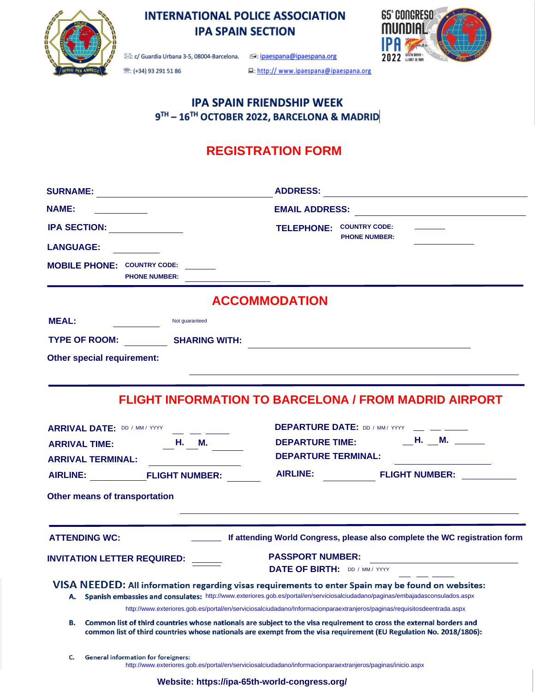

# **INTERNATIONAL POLICE ASSOCIATION IPA SPAIN SECTION**



<sup>28</sup>: (+34) 93 291 51 86

모: http:// www.ipaespana@ipaespana.org

## **IPA SPAIN FRIENDSHIP WEEK** 9TH - 16TH OCTOBER 2022, BARCELONA & MADRID

# **REGISTRATION FORM**

| <b>NAME:</b>                                                                                                                                                          |                |                                                                                                                                                                                                                                                                                                                                                                       |
|-----------------------------------------------------------------------------------------------------------------------------------------------------------------------|----------------|-----------------------------------------------------------------------------------------------------------------------------------------------------------------------------------------------------------------------------------------------------------------------------------------------------------------------------------------------------------------------|
| IPA SECTION:                                                                                                                                                          |                | TELEPHONE: COUNTRY CODE:                                                                                                                                                                                                                                                                                                                                              |
| <b>LANGUAGE:</b>                                                                                                                                                      |                | <b>PHONE NUMBER:</b>                                                                                                                                                                                                                                                                                                                                                  |
| <b>MOBILE PHONE: COUNTRY CODE:</b><br><b>PHONE NUMBER:</b>                                                                                                            |                |                                                                                                                                                                                                                                                                                                                                                                       |
|                                                                                                                                                                       |                | <b>ACCOMMODATION</b>                                                                                                                                                                                                                                                                                                                                                  |
| <b>MEAL:</b>                                                                                                                                                          | Not guaranteed |                                                                                                                                                                                                                                                                                                                                                                       |
| TYPE OF ROOM: SHARING WITH:                                                                                                                                           |                |                                                                                                                                                                                                                                                                                                                                                                       |
| <b>Other special requirement:</b>                                                                                                                                     |                | <u> 1989 - Andrea Santa Alemania, amerikana amerikana amerikana amerikana amerikana amerikana amerikana amerikan</u>                                                                                                                                                                                                                                                  |
| ARRIVAL DATE: DD / MM / YYYY __ _ _ _ _ _<br>ARRIVAL TIME: $\qquad \qquad \_ \mathsf{H.} \_ \mathsf{M.}$<br><b>ARRIVAL TERMINAL:</b><br>Other means of transportation |                | <b>DEPARTURE DATE:</b> DD / MM / YYYY __ __ __<br>DEPARTURE TIME: __________H. ___M. ______<br><b>DEPARTURE TERMINAL:</b><br>AIRLINE: FLIGHT NUMBER: AIRLINE: FLIGHT NUMBER:                                                                                                                                                                                          |
| <b>ATTENDING WC:</b>                                                                                                                                                  |                | and the control of the control of the control of the control of the control of the control of the control of the<br>If attending World Congress, please also complete the WC registration form                                                                                                                                                                        |
| INVITATION LETTER REQUIRED: _____                                                                                                                                     |                | <b>PASSPORT NUMBER:</b><br><b>DATE OF BIRTH: DD / MM / YYYY</b>                                                                                                                                                                                                                                                                                                       |
|                                                                                                                                                                       |                | VISA NEEDED: All information regarding visas requirements to enter Spain may be found on websites:                                                                                                                                                                                                                                                                    |
| А.                                                                                                                                                                    |                | Spanish embassies and consulates: http://www.exteriores.gob.es/portal/en/serviciosalciudadano/paginas/embajadasconsulados.aspx                                                                                                                                                                                                                                        |
| В.                                                                                                                                                                    |                | http://www.exteriores.gob.es/portal/en/serviciosalciudadano/Informacionparaextranjeros/paginas/requisitosdeentrada.aspx<br>Common list of third countries whose nationals are subject to the visa requirement to cross the external borders and<br>common list of third countries whose nationals are exempt from the visa requirement (EU Regulation No. 2018/1806): |
| <b>General information for foreigners:</b><br>c.                                                                                                                      |                | http://www.exteriores.gob.es/portal/en/serviciosalciudadano/informacionparaextranjeros/paginas/inicio.aspx                                                                                                                                                                                                                                                            |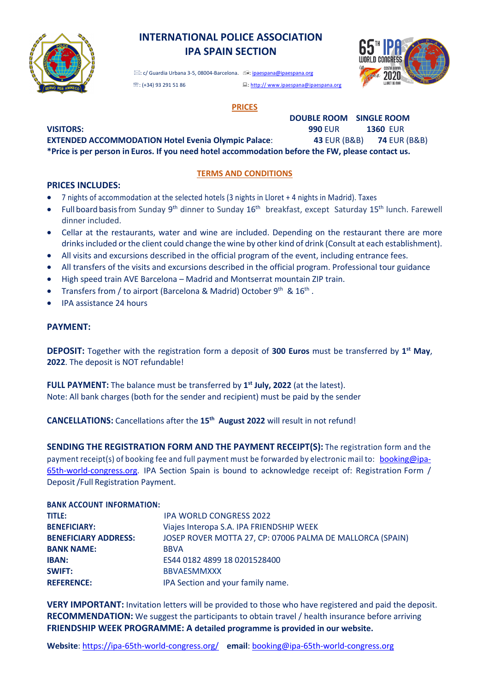

## **INTERNATIONAL POLICE ASSOCIATION IPA SPAIN SECTION**

**DOUBLE ROOM SINGLE ROOM** 

 \*: c/ Guardia Urbana 3-5, 08004-Barcelona. ,: ipaespana@ipaespana.org **图:** (+34) 93 291 51 86 :: external particle of the set of the set of the set of the set of the set of the set of the set of the set of the set of the set of the set of the set of the set of the set of the set of the set

## **PRICES**

**VISITORS: 990** EUR **1360** EUR

**EXTENDED ACCOMMODATION Hotel Evenia Olympic Palace**: **43** EUR (B&B) **74** EUR (B&B) **\*Price is per person in Euros. If you need hotel accommodation before the FW, please contact us.** 

#### **TERMS AND CONDITIONS**

#### **PRICES INCLUDES:**

- 7 nights of accommodation at the selected hotels (3 nights in Lloret + 4 nights in Madrid). Taxes
- Full board basis from Sunday 9<sup>th</sup> dinner to Sunday 16<sup>th</sup> breakfast, except Saturday 15<sup>th</sup> lunch. Farewell dinner included.
- Cellar at the restaurants, water and wine are included. Depending on the restaurant there are more drinks included or the client could change the wine by other kind of drink (Consult at each establishment).
- All visits and excursions described in the official program of the event, including entrance fees.
- All transfers of the visits and excursions described in the official program. Professional tour guidance
- High speed train AVE Barcelona Madrid and Montserrat mountain ZIP train.
- Transfers from / to airport (Barcelona & Madrid) October  $9^{th}$  &  $16^{th}$ .
- IPA assistance 24 hours

#### **PAYMENT:**

**DEPOSIT:** Together with the registration form a deposit of **300 Euros** must be transferred by **1st May**, **2022**. The deposit is NOT refundable!

**FULL PAYMENT:** The balance must be transferred by **1st July, 2022** (at the latest). Note: All bank charges (both for the sender and recipient) must be paid by the sender

**CANCELLATIONS:** Cancellations after the **15th August 2022** will result in not refund!

**SENDING THE REGISTRATION FORM AND THE PAYMENT RECEIPT(S):** The registration form and the payment receipt(s) of booking fee and full payment must be forwarded by electronic mail to: booking@ipa-65th-world-congress.org. IPA Section Spain is bound to acknowledge receipt of: Registration Form / Deposit/Full Registration Payment.

#### **BANK ACCOUNT INFORMATION:**

| TITLE:                      | <b>IPA WORLD CONGRESS 2022</b>                            |
|-----------------------------|-----------------------------------------------------------|
| <b>BENEFICIARY:</b>         | Viajes Interopa S.A. IPA FRIENDSHIP WEEK                  |
| <b>BENEFICIARY ADDRESS:</b> | JOSEP ROVER MOTTA 27, CP: 07006 PALMA DE MALLORCA (SPAIN) |
| <b>BANK NAME:</b>           | <b>BBVA</b>                                               |
| <b>IBAN:</b>                | ES44 0182 4899 18 0201528400                              |
| <b>SWIFT:</b>               | <b>BBVAESMMXXX</b>                                        |
| <b>REFERENCE:</b>           | IPA Section and your family name.                         |

**VERY IMPORTANT:** Invitation letters will be provided to those who have registered and paid the deposit. **RECOMMENDATION:** We suggest the participants to obtain travel / health insurance before arriving **FRIENDSHIP WEEK PROGRAMME: A detailed programme is provided in our website.**

**Website**: https://ipa-65th-world-congress.org/ **email**: booking@ipa-65th-world-congress.org